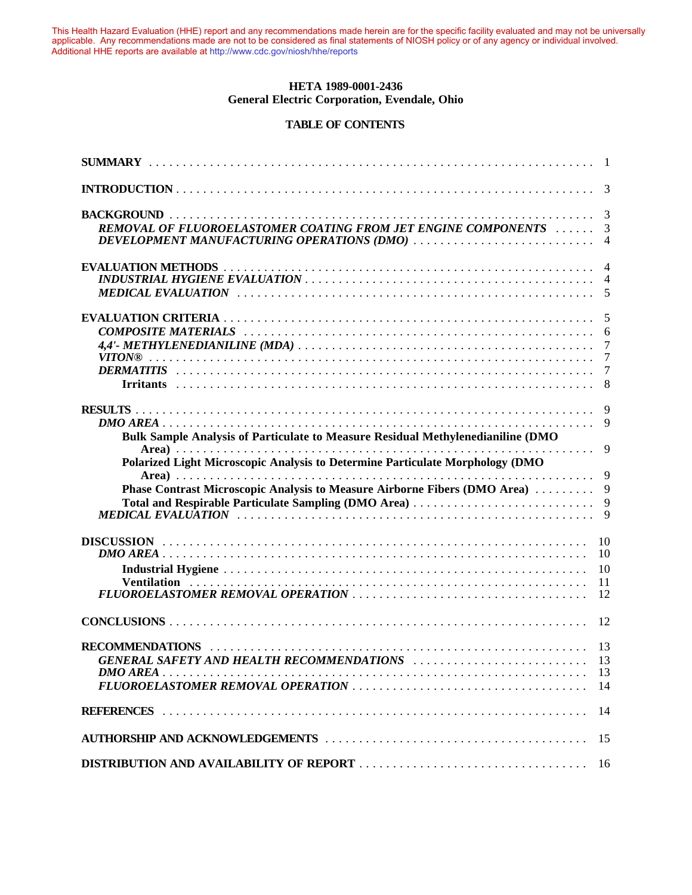This Health Hazard Evaluation (HHE) report and any recommendations made herein are for the specific facility evaluated and may not be universally applicable. Any recommendations made are not to be considered as final statements of NIOSH policy or of any agency or individual involved. Additional HHE reports are available at http://www.cdc.gov/niosh/hhe/reports Additional HHE reports are available at [http://www.cdc.gov/niosh/hhe/reports](http://www.cdc.gov/niosh/hhe)This Health Hazard Evaluation (HHE) report and any recommendations made herein are for the specific facility evaluated and may not be universally applicable. Any recommendations made are not to be considered as final statements of NIOSH policy or of any agency or individual involved

#### **HETA 1989-0001-2436** General Electric Corporation, Evendale, Ohio Schemmendations made are not to be considered as final statements of NIOSH policy of NIOSH policy of NIOSH policy of NIOSH policy of any agency of any agency of  $\alpha$

# TABLE OF CONTENTS

| REMOVAL OF FLUOROELASTOMER COATING FROM JET ENGINE COMPONENTS<br>DEVELOPMENT MANUFACTURING OPERATIONS (DMO)                                                      | 3<br>3<br>$\overline{4}$   |
|------------------------------------------------------------------------------------------------------------------------------------------------------------------|----------------------------|
|                                                                                                                                                                  |                            |
|                                                                                                                                                                  | 7<br>7                     |
| Bulk Sample Analysis of Particulate to Measure Residual Methylenedianiline (DMO<br>Polarized Light Microscopic Analysis to Determine Particulate Morphology (DMO | 9                          |
| Phase Contrast Microscopic Analysis to Measure Airborne Fibers (DMO Area)<br>Total and Respirable Particulate Sampling (DMO Area)                                | 9<br>9<br>9<br>9           |
|                                                                                                                                                                  | 10<br>10<br>10<br>11<br>12 |
|                                                                                                                                                                  | 12                         |
|                                                                                                                                                                  | 13<br>14                   |
|                                                                                                                                                                  | 14                         |
|                                                                                                                                                                  | 15                         |
|                                                                                                                                                                  | 16                         |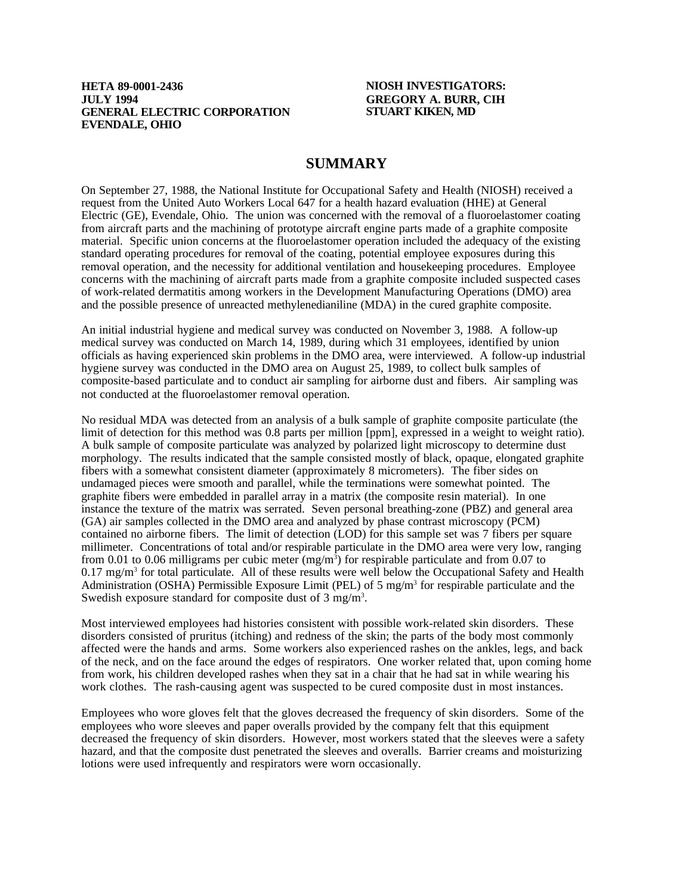### **HETA 89-0001-2436 NIOSH INVESTIGATORS: JULY 1994 GREGORY A. BURR, CIH GENERAL ELECTRIC CORPORATION EVENDALE, OHIO**

# **SUMMARY**

On September 27, 1988, the National Institute for Occupational Safety and Health (NIOSH) received a request from the United Auto Workers Local 647 for a health hazard evaluation (HHE) at General Electric (GE), Evendale, Ohio. The union was concerned with the removal of a fluoroelastomer coating from aircraft parts and the machining of prototype aircraft engine parts made of a graphite composite material. Specific union concerns at the fluoroelastomer operation included the adequacy of the existing standard operating procedures for removal of the coating, potential employee exposures during this removal operation, and the necessity for additional ventilation and housekeeping procedures. Employee concerns with the machining of aircraft parts made from a graphite composite included suspected cases of work-related dermatitis among workers in the Development Manufacturing Operations (DMO) area and the possible presence of unreacted methylenedianiline (MDA) in the cured graphite composite.

An initial industrial hygiene and medical survey was conducted on November 3, 1988. A follow-up medical survey was conducted on March 14, 1989, during which 31 employees, identified by union officials as having experienced skin problems in the DMO area, were interviewed. A follow-up industrial hygiene survey was conducted in the DMO area on August 25, 1989, to collect bulk samples of composite-based particulate and to conduct air sampling for airborne dust and fibers. Air sampling was not conducted at the fluoroelastomer removal operation.

No residual MDA was detected from an analysis of a bulk sample of graphite composite particulate (the limit of detection for this method was 0.8 parts per million [ppm], expressed in a weight to weight ratio). A bulk sample of composite particulate was analyzed by polarized light microscopy to determine dust morphology. The results indicated that the sample consisted mostly of black, opaque, elongated graphite fibers with a somewhat consistent diameter (approximately 8 micrometers). The fiber sides on undamaged pieces were smooth and parallel, while the terminations were somewhat pointed. The graphite fibers were embedded in parallel array in a matrix (the composite resin material). In one instance the texture of the matrix was serrated. Seven personal breathing-zone (PBZ) and general area (GA) air samples collected in the DMO area and analyzed by phase contrast microscopy (PCM) contained no airborne fibers. The limit of detection (LOD) for this sample set was 7 fibers per square millimeter. Concentrations of total and/or respirable particulate in the DMO area were very low, ranging from 0.01 to 0.06 milligrams per cubic meter  $(mg/m<sup>3</sup>)$  for respirable particulate and from 0.07 to  $0.17 \text{ mg/m}^3$  for total particulate. All of these results were well below the Occupational Safety and Health Administration (OSHA) Permissible Exposure Limit (PEL) of 5 mg/m<sup>3</sup> for respirable particulate and the Swedish exposure standard for composite dust of  $3 \text{ mg/m}^3$ .

Most interviewed employees had histories consistent with possible work-related skin disorders. These disorders consisted of pruritus (itching) and redness of the skin; the parts of the body most commonly affected were the hands and arms. Some workers also experienced rashes on the ankles, legs, and back of the neck, and on the face around the edges of respirators. One worker related that, upon coming home from work, his children developed rashes when they sat in a chair that he had sat in while wearing his work clothes. The rash-causing agent was suspected to be cured composite dust in most instances.

Employees who wore gloves felt that the gloves decreased the frequency of skin disorders. Some of the employees who wore sleeves and paper overalls provided by the company felt that this equipment decreased the frequency of skin disorders. However, most workers stated that the sleeves were a safety hazard, and that the composite dust penetrated the sleeves and overalls. Barrier creams and moisturizing lotions were used infrequently and respirators were worn occasionally.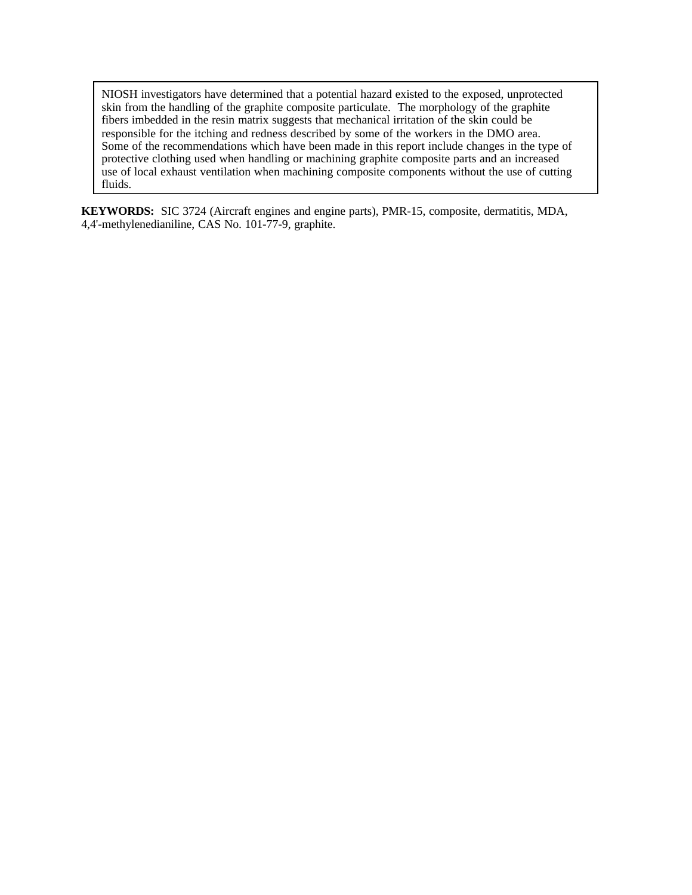NIOSH investigators have determined that a potential hazard existed to the exposed, unprotected skin from the handling of the graphite composite particulate. The morphology of the graphite fibers imbedded in the resin matrix suggests that mechanical irritation of the skin could be responsible for the itching and redness described by some of the workers in the DMO area. Some of the recommendations which have been made in this report include changes in the type of protective clothing used when handling or machining graphite composite parts and an increased use of local exhaust ventilation when machining composite components without the use of cutting fluids.

**KEYWORDS:** SIC 3724 (Aircraft engines and engine parts), PMR-15, composite, dermatitis, MDA, 4,4'-methylenedianiline, CAS No. 101-77-9, graphite.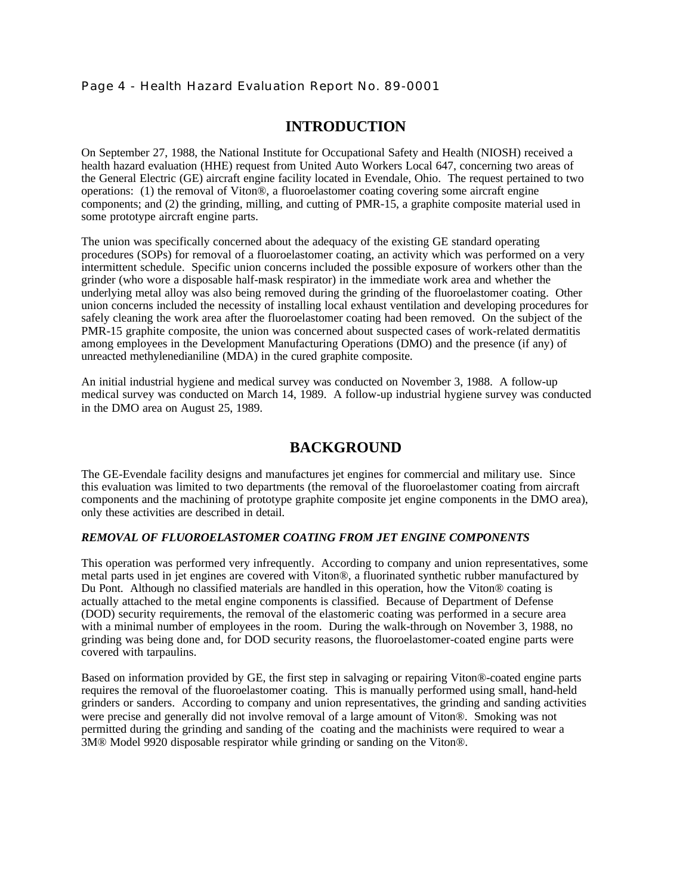# Page 4 - Health Hazard Evaluation Report No. 89-0001

# **INTRODUCTION**

On September 27, 1988, the National Institute for Occupational Safety and Health (NIOSH) received a health hazard evaluation (HHE) request from United Auto Workers Local 647, concerning two areas of the General Electric (GE) aircraft engine facility located in Evendale, Ohio. The request pertained to two operations: (1) the removal of Viton®, a fluoroelastomer coating covering some aircraft engine components; and (2) the grinding, milling, and cutting of PMR-15, a graphite composite material used in some prototype aircraft engine parts.

The union was specifically concerned about the adequacy of the existing GE standard operating procedures (SOPs) for removal of a fluoroelastomer coating, an activity which was performed on a very intermittent schedule. Specific union concerns included the possible exposure of workers other than the grinder (who wore a disposable half-mask respirator) in the immediate work area and whether the underlying metal alloy was also being removed during the grinding of the fluoroelastomer coating. Other union concerns included the necessity of installing local exhaust ventilation and developing procedures for safely cleaning the work area after the fluoroelastomer coating had been removed. On the subject of the PMR-15 graphite composite, the union was concerned about suspected cases of work-related dermatitis among employees in the Development Manufacturing Operations (DMO) and the presence (if any) of unreacted methylenedianiline (MDA) in the cured graphite composite.

An initial industrial hygiene and medical survey was conducted on November 3, 1988. A follow-up medical survey was conducted on March 14, 1989. A follow-up industrial hygiene survey was conducted in the DMO area on August 25, 1989.

# **BACKGROUND**

The GE-Evendale facility designs and manufactures jet engines for commercial and military use. Since this evaluation was limited to two departments (the removal of the fluoroelastomer coating from aircraft components and the machining of prototype graphite composite jet engine components in the DMO area), only these activities are described in detail.

### *REMOVAL OF FLUOROELASTOMER COATING FROM JET ENGINE COMPONENTS*

This operation was performed very infrequently. According to company and union representatives, some metal parts used in jet engines are covered with Viton®, a fluorinated synthetic rubber manufactured by Du Pont. Although no classified materials are handled in this operation, how the Viton® coating is actually attached to the metal engine components is classified. Because of Department of Defense (DOD) security requirements, the removal of the elastomeric coating was performed in a secure area with a minimal number of employees in the room. During the walk-through on November 3, 1988, no grinding was being done and, for DOD security reasons, the fluoroelastomer-coated engine parts were covered with tarpaulins.

Based on information provided by GE, the first step in salvaging or repairing Viton®-coated engine parts requires the removal of the fluoroelastomer coating. This is manually performed using small, hand-held grinders or sanders. According to company and union representatives, the grinding and sanding activities were precise and generally did not involve removal of a large amount of Viton®. Smoking was not permitted during the grinding and sanding of the coating and the machinists were required to wear a 3M® Model 9920 disposable respirator while grinding or sanding on the Viton®.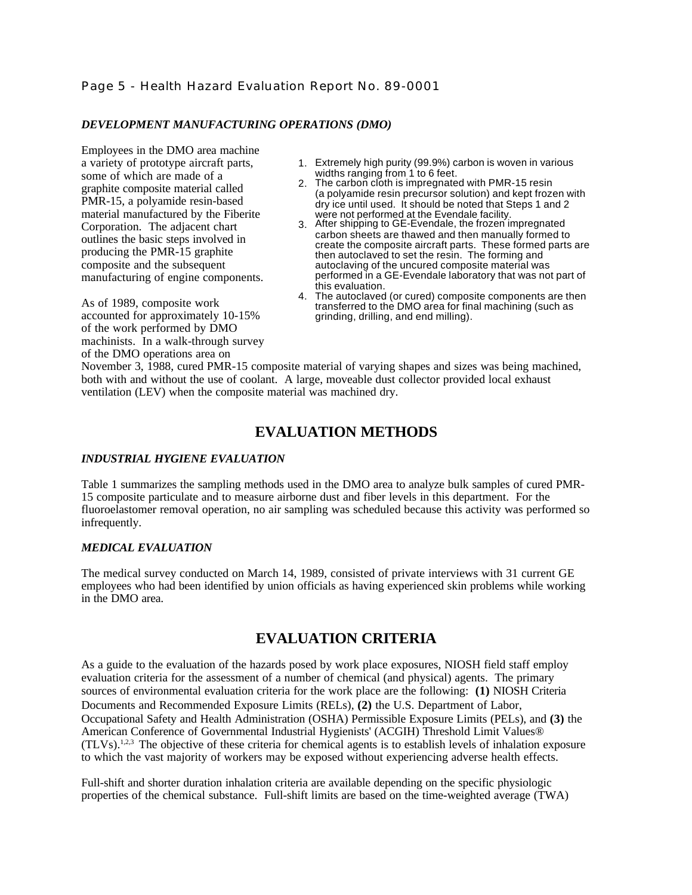# Page 5 - Health Hazard Evaluation Report No. 89-0001

### *DEVELOPMENT MANUFACTURING OPERATIONS (DMO)*

Employees in the DMO area machine a variety of prototype aircraft parts, some of which are made of a graphite composite material called PMR-15, a polyamide resin-based material manufactured by the Fiberite Corporation. The adjacent chart outlines the basic steps involved in producing the PMR-15 graphite composite and the subsequent manufacturing of engine components.

As of 1989, composite work accounted for approximately 10-15% of the work performed by DMO machinists. In a walk-through survey of the DMO operations area on

- 1. Extremely high purity (99.9%) carbon is woven in various widths ranging from 1 to 6 feet.
- 2. The carbon cloth is impregnated with PMR-15 resin (a polyamide resin precursor solution) and kept frozen with dry ice until used. It should be noted that Steps 1 and 2 were not performed at the Evendale facility.
- 3. After shipping to GE-Evendale, the frozen impregnated carbon sheets are thawed and then manually formed to create the composite aircraft parts. These formed parts are then autoclaved to set the resin. The forming and autoclaving of the uncured composite material was performed in a GE-Evendale laboratory that was not part of this evaluation.
- 4. The autoclaved (or cured) composite components are then transferred to the DMO area for final machining (such as grinding, drilling, and end milling).

November 3, 1988, cured PMR-15 composite material of varying shapes and sizes was being machined, both with and without the use of coolant. A large, moveable dust collector provided local exhaust ventilation (LEV) when the composite material was machined dry.

# **EVALUATION METHODS**

### *INDUSTRIAL HYGIENE EVALUATION*

Table 1 summarizes the sampling methods used in the DMO area to analyze bulk samples of cured PMR-15 composite particulate and to measure airborne dust and fiber levels in this department. For the fluoroelastomer removal operation, no air sampling was scheduled because this activity was performed so infrequently.

# *MEDICAL EVALUATION*

The medical survey conducted on March 14, 1989, consisted of private interviews with 31 current GE employees who had been identified by union officials as having experienced skin problems while working in the DMO area.

# **EVALUATION CRITERIA**

As a guide to the evaluation of the hazards posed by work place exposures, NIOSH field staff employ evaluation criteria for the assessment of a number of chemical (and physical) agents. The primary sources of environmental evaluation criteria for the work place are the following: **(1)** NIOSH Criteria Documents and Recommended Exposure Limits (RELs), **(2)** the U.S. Department of Labor, Occupational Safety and Health Administration (OSHA) Permissible Exposure Limits (PELs), and **(3)** the American Conference of Governmental Industrial Hygienists' (ACGIH) Threshold Limit Values®  $(TLVs).<sup>1,2,3</sup>$  The objective of these criteria for chemical agents is to establish levels of inhalation exposure to which the vast majority of workers may be exposed without experiencing adverse health effects.

Full-shift and shorter duration inhalation criteria are available depending on the specific physiologic properties of the chemical substance. Full-shift limits are based on the time-weighted average (TWA)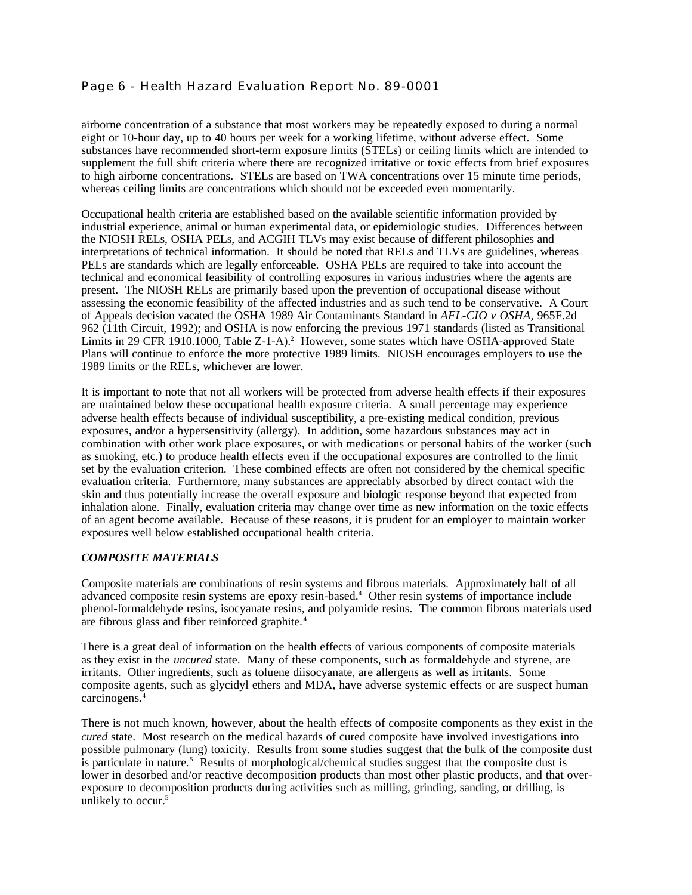# Page 6 - Health Hazard Evaluation Report No. 89-0001

airborne concentration of a substance that most workers may be repeatedly exposed to during a normal eight or 10-hour day, up to 40 hours per week for a working lifetime, without adverse effect. Some substances have recommended short-term exposure limits (STELs) or ceiling limits which are intended to supplement the full shift criteria where there are recognized irritative or toxic effects from brief exposures to high airborne concentrations. STELs are based on TWA concentrations over 15 minute time periods, whereas ceiling limits are concentrations which should not be exceeded even momentarily.

Occupational health criteria are established based on the available scientific information provided by industrial experience, animal or human experimental data, or epidemiologic studies. Differences between the NIOSH RELs, OSHA PELs, and ACGIH TLVs may exist because of different philosophies and interpretations of technical information. It should be noted that RELs and TLVs are guidelines, whereas PELs are standards which are legally enforceable. OSHA PELs are required to take into account the technical and economical feasibility of controlling exposures in various industries where the agents are present. The NIOSH RELs are primarily based upon the prevention of occupational disease without assessing the economic feasibility of the affected industries and as such tend to be conservative. A Court of Appeals decision vacated the OSHA 1989 Air Contaminants Standard in *AFL-CIO v OSHA,* 965F.2d 962 (11th Circuit, 1992); and OSHA is now enforcing the previous 1971 standards (listed as Transitional Limits in 29 CFR 1910.1000, Table Z-1-A).<sup>2</sup> However, some states which have OSHA-approved State Plans will continue to enforce the more protective 1989 limits. NIOSH encourages employers to use the 1989 limits or the RELs, whichever are lower.

It is important to note that not all workers will be protected from adverse health effects if their exposures are maintained below these occupational health exposure criteria. A small percentage may experience adverse health effects because of individual susceptibility, a pre-existing medical condition, previous exposures, and/or a hypersensitivity (allergy). In addition, some hazardous substances may act in combination with other work place exposures, or with medications or personal habits of the worker (such as smoking, etc.) to produce health effects even if the occupational exposures are controlled to the limit set by the evaluation criterion. These combined effects are often not considered by the chemical specific evaluation criteria. Furthermore, many substances are appreciably absorbed by direct contact with the skin and thus potentially increase the overall exposure and biologic response beyond that expected from inhalation alone. Finally, evaluation criteria may change over time as new information on the toxic effects of an agent become available. Because of these reasons, it is prudent for an employer to maintain worker exposures well below established occupational health criteria.

### *COMPOSITE MATERIALS*

Composite materials are combinations of resin systems and fibrous materials. Approximately half of all advanced composite resin systems are epoxy resin-based.<sup>4</sup> Other resin systems of importance include phenol-formaldehyde resins, isocyanate resins, and polyamide resins. The common fibrous materials used are fibrous glass and fiber reinforced graphite.<sup>4</sup>

There is a great deal of information on the health effects of various components of composite materials as they exist in the *uncured* state. Many of these components, such as formaldehyde and styrene, are irritants. Other ingredients, such as toluene diisocyanate, are allergens as well as irritants. Some composite agents, such as glycidyl ethers and MDA, have adverse systemic effects or are suspect human carcinogens.<sup>4</sup>

There is not much known, however, about the health effects of composite components as they exist in the *cured* state. Most research on the medical hazards of cured composite have involved investigations into possible pulmonary (lung) toxicity. Results from some studies suggest that the bulk of the composite dust is particulate in nature.<sup>5</sup> Results of morphological/chemical studies suggest that the composite dust is lower in desorbed and/or reactive decomposition products than most other plastic products, and that overexposure to decomposition products during activities such as milling, grinding, sanding, or drilling, is unlikely to occur.<sup>5</sup>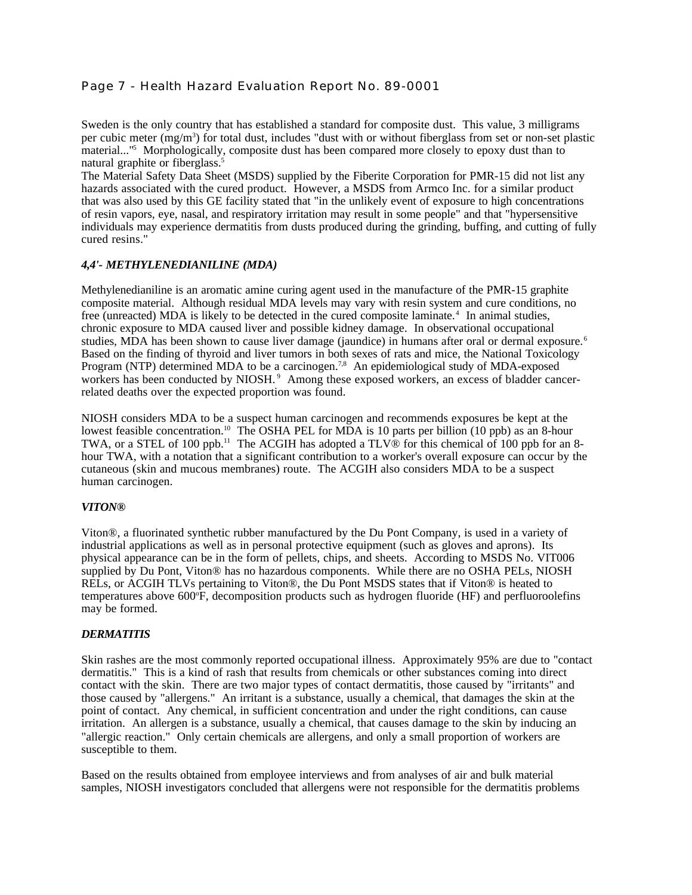# Page 7 - Health Hazard Evaluation Report No. 89-0001

Sweden is the only country that has established a standard for composite dust. This value, 3 milligrams per cubic meter (mg/m<sup>3</sup>) for total dust, includes "dust with or without fiberglass from set or non-set plastic material..."<sup>5</sup> Morphologically, composite dust has been compared more closely to epoxy dust than to natural graphite or fiberglass.<sup>5</sup>

The Material Safety Data Sheet (MSDS) supplied by the Fiberite Corporation for PMR-15 did not list any hazards associated with the cured product. However, a MSDS from Armco Inc. for a similar product that was also used by this GE facility stated that "in the unlikely event of exposure to high concentrations of resin vapors, eye, nasal, and respiratory irritation may result in some people" and that "hypersensitive individuals may experience dermatitis from dusts produced during the grinding, buffing, and cutting of fully cured resins."

### *4,4'- METHYLENEDIANILINE (MDA)*

Methylenedianiline is an aromatic amine curing agent used in the manufacture of the PMR-15 graphite composite material. Although residual MDA levels may vary with resin system and cure conditions, no free (unreacted) MDA is likely to be detected in the cured composite laminate.<sup>4</sup> In animal studies, chronic exposure to MDA caused liver and possible kidney damage. In observational occupational studies, MDA has been shown to cause liver damage (jaundice) in humans after oral or dermal exposure.<sup>6</sup> Based on the finding of thyroid and liver tumors in both sexes of rats and mice, the National Toxicology Program (NTP) determined MDA to be a carcinogen.<sup>7,8</sup> An epidemiological study of MDA-exposed workers has been conducted by NIOSH.<sup>9</sup> Among these exposed workers, an excess of bladder cancerrelated deaths over the expected proportion was found.

NIOSH considers MDA to be a suspect human carcinogen and recommends exposures be kept at the lowest feasible concentration.<sup>10</sup> The OSHA PEL for MDA is 10 parts per billion (10 ppb) as an 8-hour TWA, or a STEL of 100 ppb.<sup>11</sup> The ACGIH has adopted a TLV<sup>®</sup> for this chemical of 100 ppb for an 8hour TWA, with a notation that a significant contribution to a worker's overall exposure can occur by the cutaneous (skin and mucous membranes) route. The ACGIH also considers MDA to be a suspect human carcinogen.

### *VITON®*

Viton®, a fluorinated synthetic rubber manufactured by the Du Pont Company, is used in a variety of industrial applications as well as in personal protective equipment (such as gloves and aprons). Its physical appearance can be in the form of pellets, chips, and sheets. According to MSDS No. VIT006 supplied by Du Pont, Viton® has no hazardous components. While there are no OSHA PELs, NIOSH RELs, or ACGIH TLVs pertaining to Viton®, the Du Pont MSDS states that if Viton® is heated to temperatures above 600°F, decomposition products such as hydrogen fluoride (HF) and perfluoroolefins may be formed.

# *DERMATITIS*

Skin rashes are the most commonly reported occupational illness. Approximately 95% are due to "contact dermatitis." This is a kind of rash that results from chemicals or other substances coming into direct contact with the skin. There are two major types of contact dermatitis, those caused by "irritants" and those caused by "allergens." An irritant is a substance, usually a chemical, that damages the skin at the point of contact. Any chemical, in sufficient concentration and under the right conditions, can cause irritation. An allergen is a substance, usually a chemical, that causes damage to the skin by inducing an "allergic reaction." Only certain chemicals are allergens, and only a small proportion of workers are susceptible to them.

Based on the results obtained from employee interviews and from analyses of air and bulk material samples, NIOSH investigators concluded that allergens were not responsible for the dermatitis problems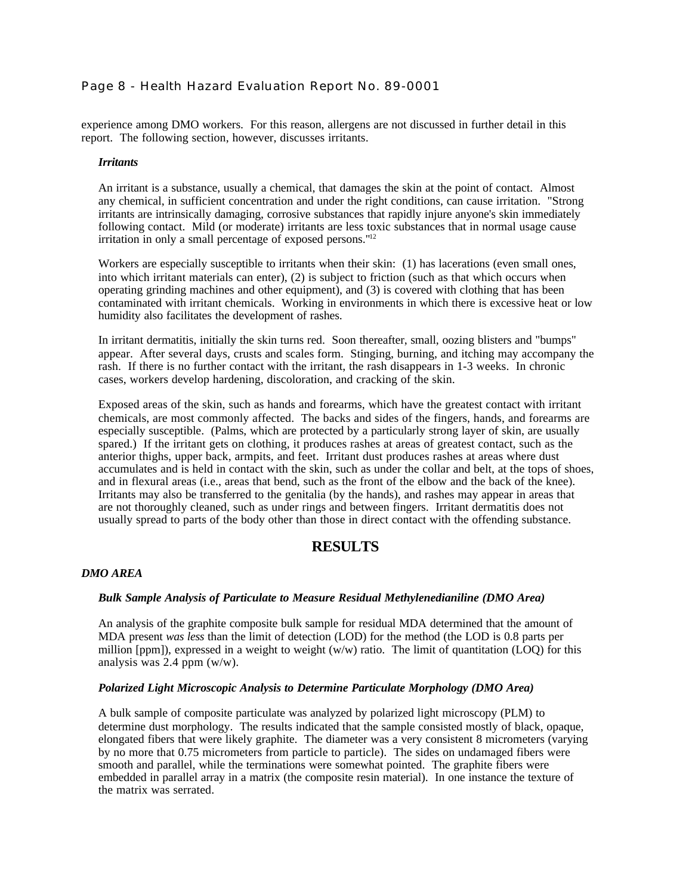# Page 8 - Health Hazard Evaluation Report No. 89-0001

experience among DMO workers. For this reason, allergens are not discussed in further detail in this report. The following section, however, discusses irritants.

### *Irritants*

An irritant is a substance, usually a chemical, that damages the skin at the point of contact. Almost any chemical, in sufficient concentration and under the right conditions, can cause irritation. "Strong irritants are intrinsically damaging, corrosive substances that rapidly injure anyone's skin immediately following contact. Mild (or moderate) irritants are less toxic substances that in normal usage cause irritation in only a small percentage of exposed persons."<sup>12</sup>

Workers are especially susceptible to irritants when their skin: (1) has lacerations (even small ones, into which irritant materials can enter), (2) is subject to friction (such as that which occurs when operating grinding machines and other equipment), and (3) is covered with clothing that has been contaminated with irritant chemicals. Working in environments in which there is excessive heat or low humidity also facilitates the development of rashes.

In irritant dermatitis, initially the skin turns red. Soon thereafter, small, oozing blisters and "bumps" appear. After several days, crusts and scales form. Stinging, burning, and itching may accompany the rash. If there is no further contact with the irritant, the rash disappears in 1-3 weeks. In chronic cases, workers develop hardening, discoloration, and cracking of the skin.

Exposed areas of the skin, such as hands and forearms, which have the greatest contact with irritant chemicals, are most commonly affected. The backs and sides of the fingers, hands, and forearms are especially susceptible. (Palms, which are protected by a particularly strong layer of skin, are usually spared.) If the irritant gets on clothing, it produces rashes at areas of greatest contact, such as the anterior thighs, upper back, armpits, and feet. Irritant dust produces rashes at areas where dust accumulates and is held in contact with the skin, such as under the collar and belt, at the tops of shoes, and in flexural areas (i.e., areas that bend, such as the front of the elbow and the back of the knee). Irritants may also be transferred to the genitalia (by the hands), and rashes may appear in areas that are not thoroughly cleaned, such as under rings and between fingers. Irritant dermatitis does not usually spread to parts of the body other than those in direct contact with the offending substance.

# **RESULTS**

### *DMO AREA*

### *Bulk Sample Analysis of Particulate to Measure Residual Methylenedianiline (DMO Area)*

An analysis of the graphite composite bulk sample for residual MDA determined that the amount of MDA present *was less* than the limit of detection (LOD) for the method (the LOD is 0.8 parts per million  $[ppm]$ ), expressed in a weight to weight (w/w) ratio. The limit of quantitation (LOQ) for this analysis was 2.4 ppm (w/w).

### *Polarized Light Microscopic Analysis to Determine Particulate Morphology (DMO Area)*

A bulk sample of composite particulate was analyzed by polarized light microscopy (PLM) to determine dust morphology. The results indicated that the sample consisted mostly of black, opaque, elongated fibers that were likely graphite. The diameter was a very consistent 8 micrometers (varying by no more that 0.75 micrometers from particle to particle). The sides on undamaged fibers were smooth and parallel, while the terminations were somewhat pointed. The graphite fibers were embedded in parallel array in a matrix (the composite resin material). In one instance the texture of the matrix was serrated.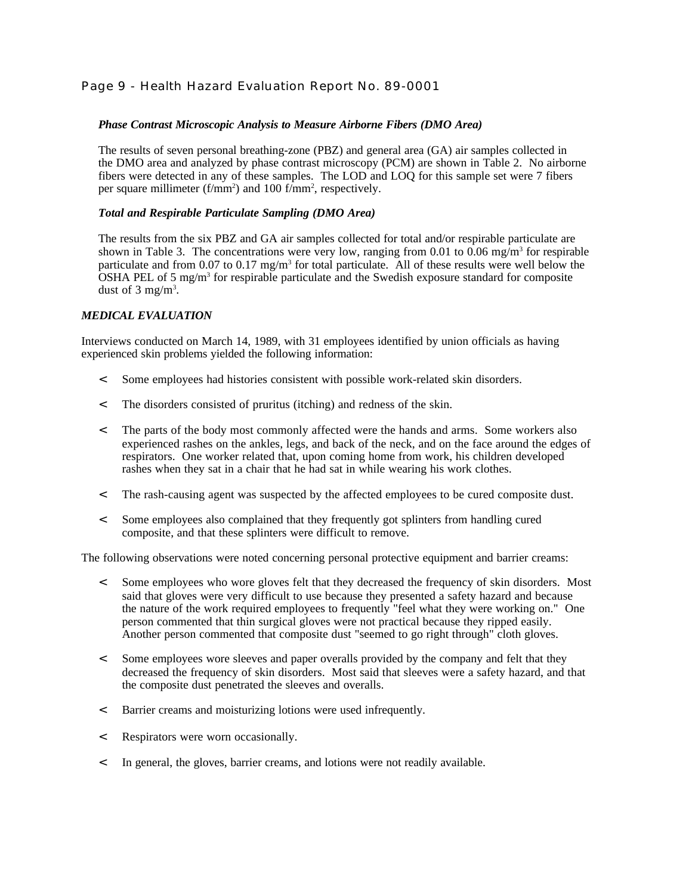# Page 9 - Health Hazard Evaluation Report No. 89-0001

### *Phase Contrast Microscopic Analysis to Measure Airborne Fibers (DMO Area)*

The results of seven personal breathing-zone (PBZ) and general area (GA) air samples collected in the DMO area and analyzed by phase contrast microscopy (PCM) are shown in Table 2. No airborne fibers were detected in any of these samples. The LOD and LOQ for this sample set were 7 fibers per square millimeter (f/mm<sup>2</sup>) and 100 f/mm<sup>2</sup>, respectively.

### *Total and Respirable Particulate Sampling (DMO Area)*

The results from the six PBZ and GA air samples collected for total and/or respirable particulate are shown in Table 3. The concentrations were very low, ranging from 0.01 to 0.06 mg/m<sup>3</sup> for respirable particulate and from 0.07 to 0.17 mg/m<sup>3</sup> for total particulate. All of these results were well below the OSHA PEL of 5 mg/m<sup>3</sup> for respirable particulate and the Swedish exposure standard for composite dust of  $3 \text{ mg/m}^3$ .

### *MEDICAL EVALUATION*

Interviews conducted on March 14, 1989, with 31 employees identified by union officials as having experienced skin problems yielded the following information:

- < Some employees had histories consistent with possible work-related skin disorders.
- < The disorders consisted of pruritus (itching) and redness of the skin.
- < The parts of the body most commonly affected were the hands and arms. Some workers also experienced rashes on the ankles, legs, and back of the neck, and on the face around the edges of respirators. One worker related that, upon coming home from work, his children developed rashes when they sat in a chair that he had sat in while wearing his work clothes.
- < The rash-causing agent was suspected by the affected employees to be cured composite dust.
- < Some employees also complained that they frequently got splinters from handling cured composite, and that these splinters were difficult to remove.

The following observations were noted concerning personal protective equipment and barrier creams:

- < Some employees who wore gloves felt that they decreased the frequency of skin disorders. Most said that gloves were very difficult to use because they presented a safety hazard and because the nature of the work required employees to frequently "feel what they were working on." One person commented that thin surgical gloves were not practical because they ripped easily. Another person commented that composite dust "seemed to go right through" cloth gloves.
- < Some employees wore sleeves and paper overalls provided by the company and felt that they decreased the frequency of skin disorders. Most said that sleeves were a safety hazard, and that the composite dust penetrated the sleeves and overalls.
- < Barrier creams and moisturizing lotions were used infrequently.
- < Respirators were worn occasionally.
- < In general, the gloves, barrier creams, and lotions were not readily available.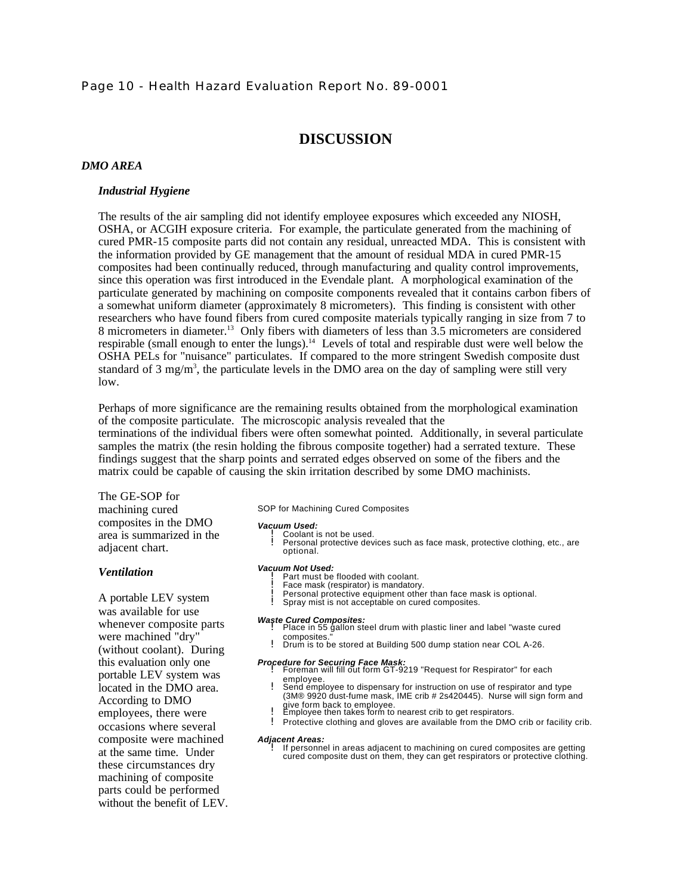### Page 10 - Health Hazard Evaluation Report No. 89-0001

# **DISCUSSION**

### *DMO AREA*

### *Industrial Hygiene*

The results of the air sampling did not identify employee exposures which exceeded any NIOSH, OSHA, or ACGIH exposure criteria. For example, the particulate generated from the machining of cured PMR-15 composite parts did not contain any residual, unreacted MDA. This is consistent with the information provided by GE management that the amount of residual MDA in cured PMR-15 composites had been continually reduced, through manufacturing and quality control improvements, since this operation was first introduced in the Evendale plant. A morphological examination of the particulate generated by machining on composite components revealed that it contains carbon fibers of a somewhat uniform diameter (approximately 8 micrometers). This finding is consistent with other researchers who have found fibers from cured composite materials typically ranging in size from 7 to 8 micrometers in diameter.<sup>13</sup> Only fibers with diameters of less than 3.5 micrometers are considered respirable (small enough to enter the lungs).<sup>14</sup> Levels of total and respirable dust were well below the OSHA PELs for "nuisance" particulates. If compared to the more stringent Swedish composite dust standard of  $3 \text{ mg/m}^3$ , the particulate levels in the DMO area on the day of sampling were still very low.

Perhaps of more significance are the remaining results obtained from the morphological examination of the composite particulate. The microscopic analysis revealed that the

terminations of the individual fibers were often somewhat pointed. Additionally, in several particulate samples the matrix (the resin holding the fibrous composite together) had a serrated texture. These findings suggest that the sharp points and serrated edges observed on some of the fibers and the matrix could be capable of causing the skin irritation described by some DMO machinists.

### The GE-SOP for

machining cured composites in the DMO area is summarized in the adjacent chart.

#### *Ventilation*

A portable LEV system was available for use whenever composite parts were machined "dry" (without coolant). During this evaluation only one portable LEV system was located in the DMO area. According to DMO employees, there were occasions where several composite were machined at the same time. Under these circumstances dry machining of composite parts could be performed without the benefit of LEV. SOP for Machining Cured Composites

#### *Vacuum Used:*

- 
- ! Coolant is not be used. ! Personal protective devices such as face mask, protective clothing, etc., are optional.

#### *Vacuum Not Used:*

- **Part must be flooded with coolant.**
- Face mask (respirator) is mandatory. Personal protective equipment other than face mask is optional.
- Spray mist is not acceptable on cured composites.
- 
- *Waste Cured Composites:* ! Place in 55 gallon steel drum with plastic liner and label "waste cured
	- composites." ! Drum is to be stored at Building 500 dump station near COL A-26.

- *Procedure for Securing Face Mask:* ! Foreman will fill out form GT-9219 "Request for Respirator" for each employee. ! Send employee to dispensary for instruction on use of respirator and type
	- (3M® 9920 dust-fume mask, IME crib # 2s420445). Nurse will sign form and
	- give form back to employee. ! Employee then takes form to nearest crib to get respirators.
	- ! Protective clothing and gloves are available from the DMO crib or facility crib.

#### *Adjacent Areas:*

If personnel in areas adjacent to machining on cured composites are getting cured composite dust on them, they can get respirators or protective clothing.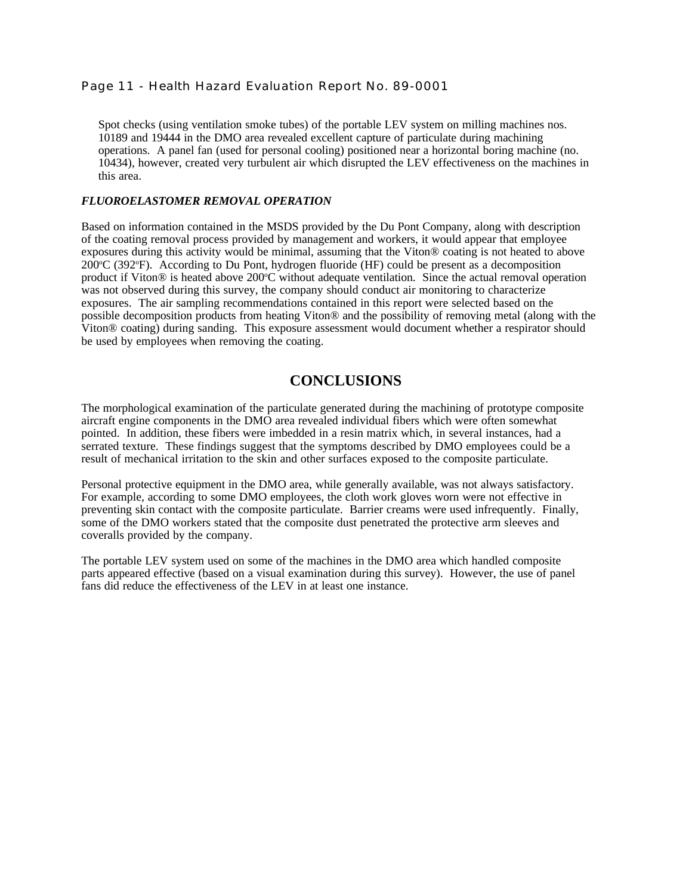# Page 11 - Health Hazard Evaluation Report No. 89-0001

Spot checks (using ventilation smoke tubes) of the portable LEV system on milling machines nos. 10189 and 19444 in the DMO area revealed excellent capture of particulate during machining operations. A panel fan (used for personal cooling) positioned near a horizontal boring machine (no. 10434), however, created very turbulent air which disrupted the LEV effectiveness on the machines in this area.

### *FLUOROELASTOMER REMOVAL OPERATION*

Based on information contained in the MSDS provided by the Du Pont Company, along with description of the coating removal process provided by management and workers, it would appear that employee exposures during this activity would be minimal, assuming that the Viton® coating is not heated to above  $200^{\circ}$ C (392 $^{\circ}$ F). According to Du Pont, hydrogen fluoride (HF) could be present as a decomposition product if Viton® is heated above  $200^{\circ}$ C without adequate ventilation. Since the actual removal operation was not observed during this survey, the company should conduct air monitoring to characterize exposures. The air sampling recommendations contained in this report were selected based on the possible decomposition products from heating Viton® and the possibility of removing metal (along with the Viton® coating) during sanding. This exposure assessment would document whether a respirator should be used by employees when removing the coating.

# **CONCLUSIONS**

The morphological examination of the particulate generated during the machining of prototype composite aircraft engine components in the DMO area revealed individual fibers which were often somewhat pointed. In addition, these fibers were imbedded in a resin matrix which, in several instances, had a serrated texture. These findings suggest that the symptoms described by DMO employees could be a result of mechanical irritation to the skin and other surfaces exposed to the composite particulate.

Personal protective equipment in the DMO area, while generally available, was not always satisfactory. For example, according to some DMO employees, the cloth work gloves worn were not effective in preventing skin contact with the composite particulate. Barrier creams were used infrequently. Finally, some of the DMO workers stated that the composite dust penetrated the protective arm sleeves and coveralls provided by the company.

The portable LEV system used on some of the machines in the DMO area which handled composite parts appeared effective (based on a visual examination during this survey). However, the use of panel fans did reduce the effectiveness of the LEV in at least one instance.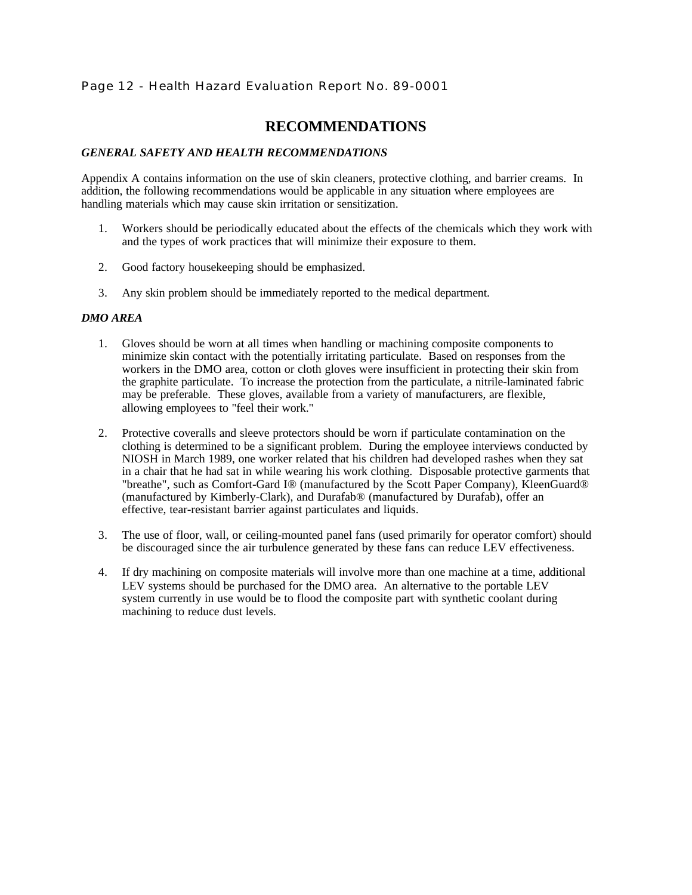# Page 12 - Health Hazard Evaluation Report No. 89-0001

# **RECOMMENDATIONS**

## *GENERAL SAFETY AND HEALTH RECOMMENDATIONS*

Appendix A contains information on the use of skin cleaners, protective clothing, and barrier creams. In addition, the following recommendations would be applicable in any situation where employees are handling materials which may cause skin irritation or sensitization.

- 1. Workers should be periodically educated about the effects of the chemicals which they work with and the types of work practices that will minimize their exposure to them.
- 2. Good factory housekeeping should be emphasized.
- 3. Any skin problem should be immediately reported to the medical department.

### *DMO AREA*

- 1. Gloves should be worn at all times when handling or machining composite components to minimize skin contact with the potentially irritating particulate. Based on responses from the workers in the DMO area, cotton or cloth gloves were insufficient in protecting their skin from the graphite particulate. To increase the protection from the particulate, a nitrile-laminated fabric may be preferable. These gloves, available from a variety of manufacturers, are flexible, allowing employees to "feel their work."
- 2. Protective coveralls and sleeve protectors should be worn if particulate contamination on the clothing is determined to be a significant problem. During the employee interviews conducted by NIOSH in March 1989, one worker related that his children had developed rashes when they sat in a chair that he had sat in while wearing his work clothing. Disposable protective garments that "breathe", such as Comfort-Gard I® (manufactured by the Scott Paper Company), KleenGuard® (manufactured by Kimberly-Clark), and Durafab® (manufactured by Durafab), offer an effective, tear-resistant barrier against particulates and liquids.
- 3. The use of floor, wall, or ceiling-mounted panel fans (used primarily for operator comfort) should be discouraged since the air turbulence generated by these fans can reduce LEV effectiveness.
- 4. If dry machining on composite materials will involve more than one machine at a time, additional LEV systems should be purchased for the DMO area. An alternative to the portable LEV system currently in use would be to flood the composite part with synthetic coolant during machining to reduce dust levels.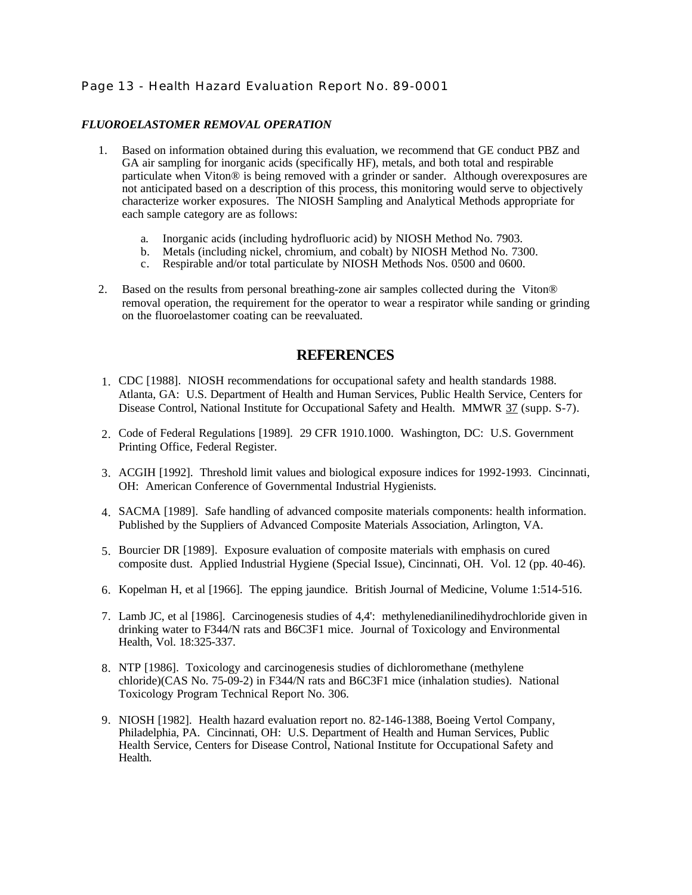# Page 13 - Health Hazard Evaluation Report No. 89-0001

# *FLUOROELASTOMER REMOVAL OPERATION*

- 1. Based on information obtained during this evaluation, we recommend that GE conduct PBZ and GA air sampling for inorganic acids (specifically HF), metals, and both total and respirable particulate when Viton® is being removed with a grinder or sander. Although overexposures are not anticipated based on a description of this process, this monitoring would serve to objectively characterize worker exposures. The NIOSH Sampling and Analytical Methods appropriate for each sample category are as follows:
	- a. Inorganic acids (including hydrofluoric acid) by NIOSH Method No. 7903.
	- b. Metals (including nickel, chromium, and cobalt) by NIOSH Method No. 7300.
	- c. Respirable and/or total particulate by NIOSH Methods Nos. 0500 and 0600.
- 2. Based on the results from personal breathing-zone air samples collected during the Viton® removal operation, the requirement for the operator to wear a respirator while sanding or grinding on the fluoroelastomer coating can be reevaluated.

# **REFERENCES**

- 1. CDC [1988]. NIOSH recommendations for occupational safety and health standards 1988. Atlanta, GA: U.S. Department of Health and Human Services, Public Health Service, Centers for Disease Control, National Institute for Occupational Safety and Health. MMWR 37 (supp. S-7).
- 2. Code of Federal Regulations [1989]. 29 CFR 1910.1000. Washington, DC: U.S. Government Printing Office, Federal Register.
- 3. ACGIH [1992]. Threshold limit values and biological exposure indices for 1992-1993. Cincinnati, OH: American Conference of Governmental Industrial Hygienists.
- 4. SACMA [1989]. Safe handling of advanced composite materials components: health information. Published by the Suppliers of Advanced Composite Materials Association, Arlington, VA.
- 5. Bourcier DR [1989]. Exposure evaluation of composite materials with emphasis on cured composite dust. Applied Industrial Hygiene (Special Issue), Cincinnati, OH. Vol. 12 (pp. 40-46).
- 6. Kopelman H, et al [1966]. The epping jaundice. British Journal of Medicine, Volume 1:514-516.
- 7. Lamb JC, et al [1986]. Carcinogenesis studies of 4,4': methylenedianilinedihydrochloride given in drinking water to F344/N rats and B6C3F1 mice. Journal of Toxicology and Environmental Health, Vol. 18:325-337.
- 8. NTP [1986]. Toxicology and carcinogenesis studies of dichloromethane (methylene chloride)(CAS No. 75-09-2) in F344/N rats and B6C3F1 mice (inhalation studies). National Toxicology Program Technical Report No. 306.
- 9. NIOSH [1982]. Health hazard evaluation report no. 82-146-1388, Boeing Vertol Company, Philadelphia, PA. Cincinnati, OH: U.S. Department of Health and Human Services, Public Health Service, Centers for Disease Control, National Institute for Occupational Safety and Health.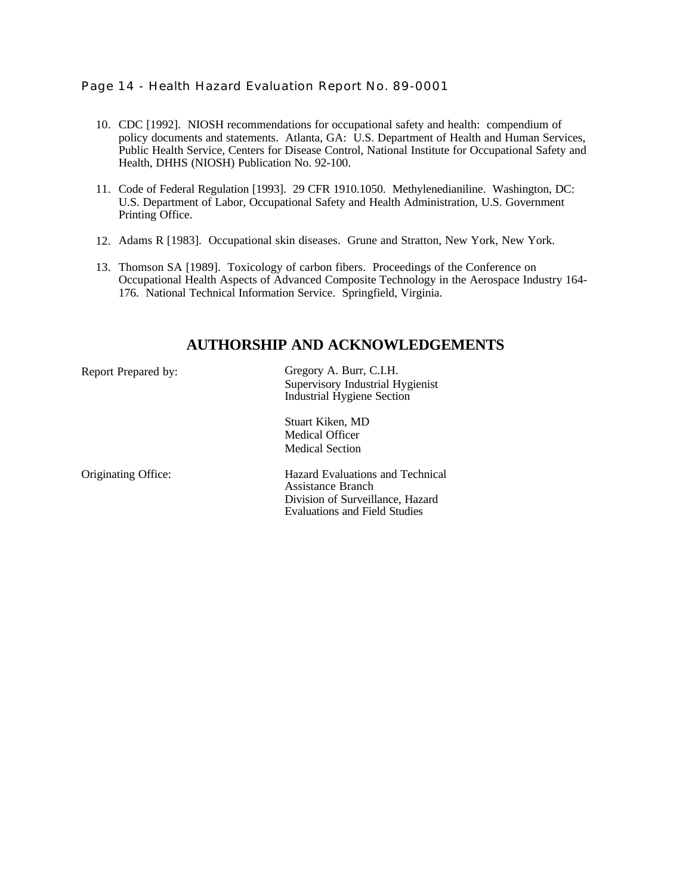# Page 14 - Health Hazard Evaluation Report No. 89-0001

- 10. CDC [1992]. NIOSH recommendations for occupational safety and health: compendium of policy documents and statements. Atlanta, GA: U.S. Department of Health and Human Services, Public Health Service, Centers for Disease Control, National Institute for Occupational Safety and Health, DHHS (NIOSH) Publication No. 92-100.
- 11. Code of Federal Regulation [1993]. 29 CFR 1910.1050. Methylenedianiline. Washington, DC: U.S. Department of Labor, Occupational Safety and Health Administration, U.S. Government Printing Office.
- 12. Adams R [1983]. Occupational skin diseases. Grune and Stratton, New York, New York.
- 13. Thomson SA [1989]. Toxicology of carbon fibers. Proceedings of the Conference on Occupational Health Aspects of Advanced Composite Technology in the Aerospace Industry 164- 176. National Technical Information Service. Springfield, Virginia.

# **AUTHORSHIP AND ACKNOWLEDGEMENTS**

Report Prepared by: Gregory A. Burr, C.I.H. Supervisory Industrial Hygienist Industrial Hygiene Section

> Stuart Kiken, MD Medical Officer Medical Section

Originating Office: Hazard Evaluations and Technical Assistance Branch Division of Surveillance, Hazard Evaluations and Field Studies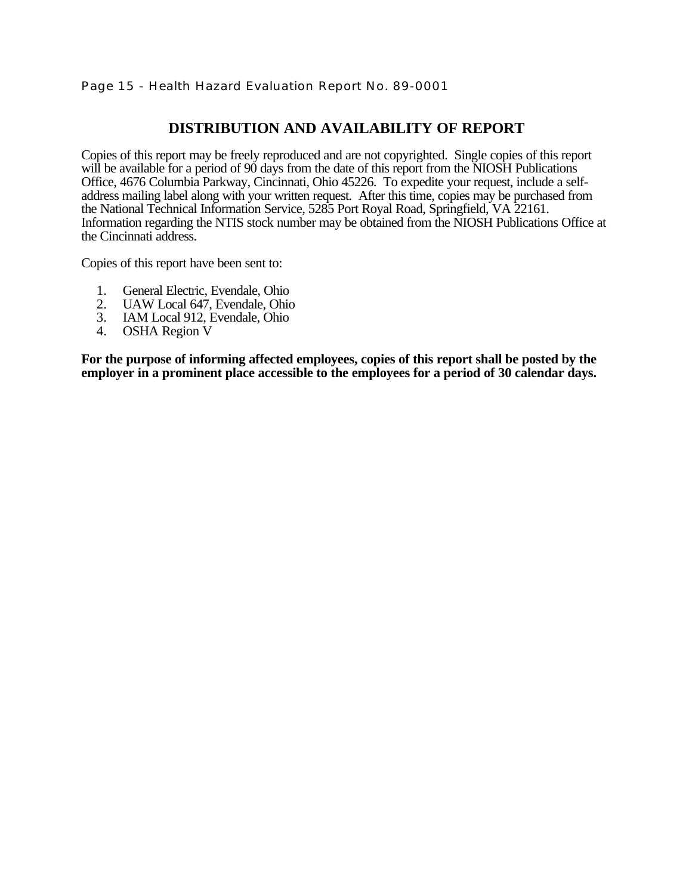# Page 15 - Health Hazard Evaluation Report No. 89-0001

# **DISTRIBUTION AND AVAILABILITY OF REPORT**

Copies of this report may be freely reproduced and are not copyrighted. Single copies of this report will be available for a period of 90 days from the date of this report from the NIOSH Publications Office, 4676 Columbia Parkway, Cincinnati, Ohio 45226. To expedite your request, include a selfaddress mailing label along with your written request. After this time, copies may be purchased from the National Technical Information Service, 5285 Port Royal Road, Springfield, VA 22161. Information regarding the NTIS stock number may be obtained from the NIOSH Publications Office at the Cincinnati address.

Copies of this report have been sent to:

- 1. General Electric, Evendale, Ohio<br>2. UAW Local 647. Evendale, Ohio
- 2. UAW Local 647, Evendale, Ohio
- 3. IAM Local 912, Evendale, Ohio
- 4. OSHA Region V

**For the purpose of informing affected employees, copies of this report shall be posted by the employer in a prominent place accessible to the employees for a period of 30 calendar days.**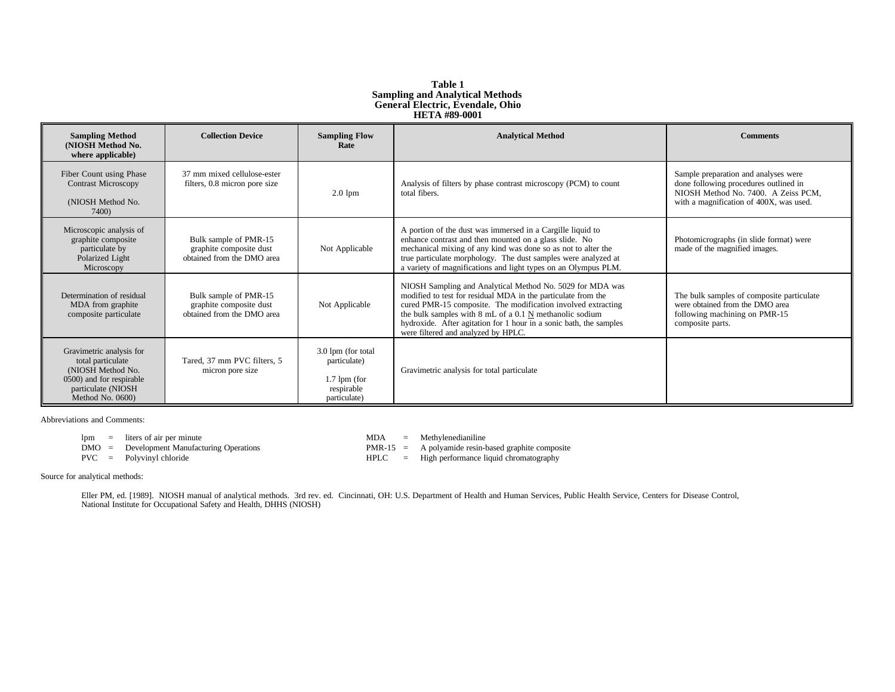#### **Table 1 Sampling and Analytical Methods General Electric, Evendale, Ohio HETA #89-0001**

| <b>Sampling Method</b><br>(NIOSH Method No.<br>where applicable)                                                                         | <b>Collection Device</b>                                                       | <b>Sampling Flow</b><br>Rate                                                       | <b>Analytical Method</b>                                                                                                                                                                                                                                                                                                                                           | <b>Comments</b>                                                                                                                                                 |
|------------------------------------------------------------------------------------------------------------------------------------------|--------------------------------------------------------------------------------|------------------------------------------------------------------------------------|--------------------------------------------------------------------------------------------------------------------------------------------------------------------------------------------------------------------------------------------------------------------------------------------------------------------------------------------------------------------|-----------------------------------------------------------------------------------------------------------------------------------------------------------------|
| Fiber Count using Phase<br><b>Contrast Microscopy</b><br>(NIOSH Method No.<br>7400)                                                      | 37 mm mixed cellulose-ester<br>filters, 0.8 micron pore size                   | $2.0 \text{ lpm}$                                                                  | Analysis of filters by phase contrast microscopy (PCM) to count<br>total fibers.                                                                                                                                                                                                                                                                                   | Sample preparation and analyses were<br>done following procedures outlined in<br>NIOSH Method No. 7400. A Zeiss PCM.<br>with a magnification of 400X, was used. |
| Microscopic analysis of<br>graphite composite<br>particulate by<br>Polarized Light<br>Microscopy                                         | Bulk sample of PMR-15<br>graphite composite dust<br>obtained from the DMO area | Not Applicable                                                                     | A portion of the dust was immersed in a Cargille liquid to<br>enhance contrast and then mounted on a glass slide. No<br>mechanical mixing of any kind was done so as not to alter the<br>true particulate morphology. The dust samples were analyzed at<br>a variety of magnifications and light types on an Olympus PLM.                                          | Photomicrographs (in slide format) were<br>made of the magnified images.                                                                                        |
| Determination of residual<br>MDA from graphite<br>composite particulate                                                                  | Bulk sample of PMR-15<br>graphite composite dust<br>obtained from the DMO area | Not Applicable                                                                     | NIOSH Sampling and Analytical Method No. 5029 for MDA was<br>modified to test for residual MDA in the particulate from the<br>cured PMR-15 composite. The modification involved extracting<br>the bulk samples with 8 mL of a 0.1 N methanolic sodium<br>hydroxide. After agitation for 1 hour in a sonic bath, the samples<br>were filtered and analyzed by HPLC. | The bulk samples of composite particulate<br>were obtained from the DMO area<br>following machining on PMR-15<br>composite parts.                               |
| Gravimetric analysis for<br>total particulate<br>(NIOSH Method No.<br>0500) and for respirable<br>particulate (NIOSH<br>Method No. 0600) | Tared, 37 mm PVC filters, 5<br>micron pore size                                | 3.0 lpm (for total<br>particulate)<br>$1.7$ lpm (for<br>respirable<br>particulate) | Gravimetric analysis for total particulate                                                                                                                                                                                                                                                                                                                         |                                                                                                                                                                 |

Abbreviations and Comments:

- lpm = liters of air per minute UNES and MDA = Methylenedianiline<br>
DMO = Development Manufacturing Operations<br>
MDA = Methylenedianiline<br>
PMR-15 = A polyamide resin-b PMR-15 = Development Manufacturing Operations PMR-15 = A polyamide resin-based graphite composite<br>PVC = Polyvinyl chloride PVC = Polyvinyl chloride PVC = Polyvinyl chloride PVC = Polyvinyl chloride
- 
- -
- $HPLC = High performance liquid chromatography$

Source for analytical methods:

Eller PM, ed. [1989]. NIOSH manual of analytical methods. 3rd rev. ed. Cincinnati, OH: U.S. Department of Health and Human Services, Public Health Service, Centers for Disease Control, National Institute for Occupational Safety and Health, DHHS (NIOSH)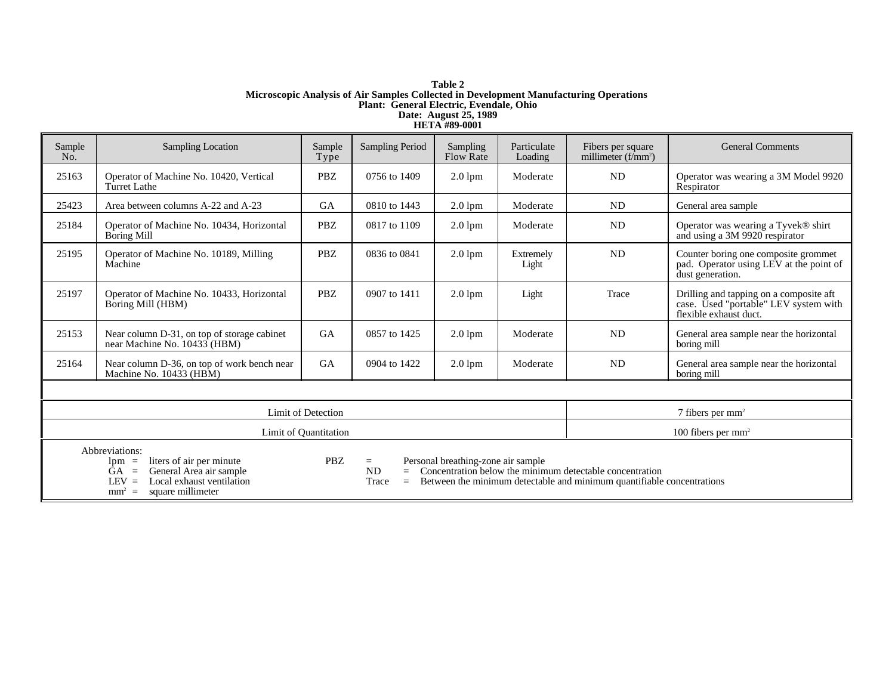#### **Table 2 Microscopic Analysis of Air Samples Collected in Development Manufacturing Operations Plant: General Electric, Evendale, Ohio Date: August 25, 1989 HETA #89-0001**

| Sample<br>No.                                                                                                                                                                                                                                                                                                                                                                                                     | <b>Sampling Location</b>                                                    | Sample<br>Type       | Sampling Period    | Sampling<br><b>Flow Rate</b> | Particulate<br>Loading | Fibers per square<br>millimeter $(f/\text{mm}^2)$ | <b>General Comments</b>                                                                                    |
|-------------------------------------------------------------------------------------------------------------------------------------------------------------------------------------------------------------------------------------------------------------------------------------------------------------------------------------------------------------------------------------------------------------------|-----------------------------------------------------------------------------|----------------------|--------------------|------------------------------|------------------------|---------------------------------------------------|------------------------------------------------------------------------------------------------------------|
| 25163                                                                                                                                                                                                                                                                                                                                                                                                             | Operator of Machine No. 10420, Vertical<br>Turret Lathe                     | <b>PBZ</b>           | 0756 to 1409       | $2.0$ lpm                    | Moderate               | <b>ND</b>                                         | Operator was wearing a 3M Model 9920<br>Respirator                                                         |
| 25423                                                                                                                                                                                                                                                                                                                                                                                                             | Area between columns A-22 and A-23                                          | <b>GA</b>            | 0810 to 1443       | $2.01$ pm                    | Moderate               | <b>ND</b>                                         | General area sample                                                                                        |
| 25184                                                                                                                                                                                                                                                                                                                                                                                                             | Operator of Machine No. 10434, Horizontal<br>Boring Mill                    | PBZ                  | 0817 to 1109       | $2.0$ lpm                    | Moderate               | ND                                                | Operator was wearing a Tyvek® shirt<br>and using a 3M 9920 respirator                                      |
| 25195                                                                                                                                                                                                                                                                                                                                                                                                             | Operator of Machine No. 10189, Milling<br>Machine                           | PBZ                  | 0836 to 0841       | $2.0$ lpm                    | Extremely<br>Light     | <b>ND</b>                                         | Counter boring one composite grommet<br>pad. Operator using LEV at the point of<br>dust generation.        |
| 25197                                                                                                                                                                                                                                                                                                                                                                                                             | Operator of Machine No. 10433, Horizontal<br>Boring Mill (HBM)              | <b>PBZ</b>           | 0907 to 1411       | $2.0$ lpm                    | Light                  | Trace                                             | Drilling and tapping on a composite aft<br>case. Used "portable" LEV system with<br>flexible exhaust duct. |
| 25153                                                                                                                                                                                                                                                                                                                                                                                                             | Near column D-31, on top of storage cabinet<br>near Machine No. 10433 (HBM) | <b>GA</b>            | 0857 to 1425       | $2.0$ lpm                    | Moderate               | <b>ND</b>                                         | General area sample near the horizontal<br>boring mill                                                     |
| 25164                                                                                                                                                                                                                                                                                                                                                                                                             | Near column D-36, on top of work bench near<br>Machine No. 10433 (HBM)      | <b>GA</b>            | 0904 to 1422       | $2.0$ lpm                    | Moderate               | <b>ND</b>                                         | General area sample near the horizontal<br>boring mill                                                     |
|                                                                                                                                                                                                                                                                                                                                                                                                                   |                                                                             |                      |                    |                              |                        |                                                   |                                                                                                            |
|                                                                                                                                                                                                                                                                                                                                                                                                                   | Limit of Detection                                                          |                      | 7 fibers per $mm2$ |                              |                        |                                                   |                                                                                                            |
|                                                                                                                                                                                                                                                                                                                                                                                                                   | Limit of Quantitation                                                       | 100 fibers per $mm2$ |                    |                              |                        |                                                   |                                                                                                            |
| Abbreviations:<br><b>PBZ</b><br>Personal breathing-zone air sample<br>= Concentration below the minimum detectable concentration<br>liters of air per minute<br>$lpm =$<br>$\equiv$<br><b>ND</b><br>General Area air sample<br>GA.<br>$\equiv$<br>Local exhaust ventilation<br>Between the minimum detectable and minimum quantifiable concentrations<br>$LEV =$<br>Trace<br>$=$<br>square millimeter<br>$mm^2$ = |                                                                             |                      |                    |                              |                        |                                                   |                                                                                                            |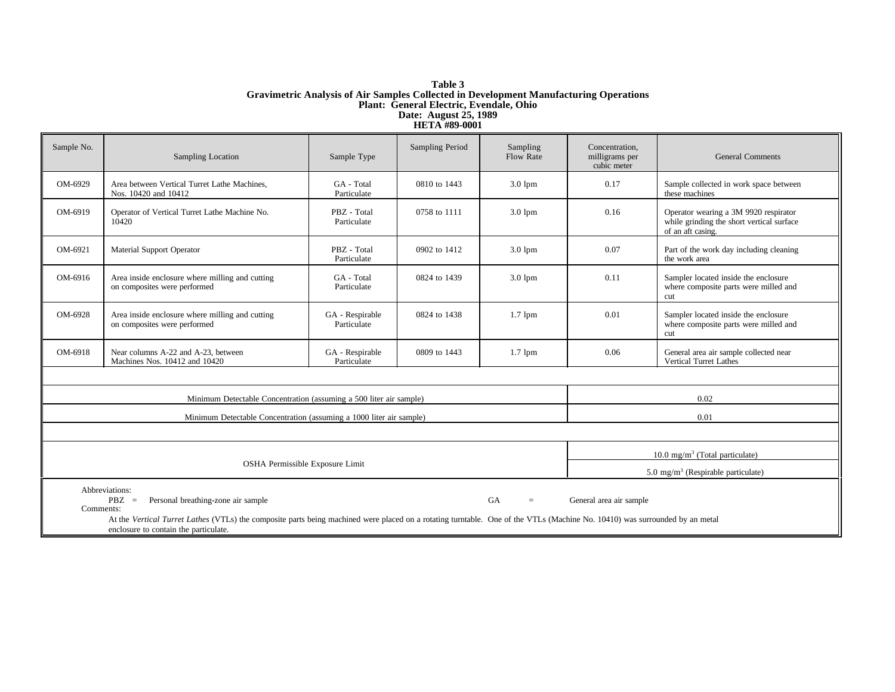#### **Table 3 Gravimetric Analysis of Air Samples Collected in Development Manufacturing Operations Plant: General Electric, Evendale, Ohio Date: August 25, 1989 HETA #89-0001**

| Sample No.                                                                                                                                                                                                                                                                                                                                      | Sampling Location                                                                                 | Sample Type                                    | Sampling Period | Sampling<br><b>Flow Rate</b> | Concentration,<br>milligrams per<br>cubic meter | <b>General Comments</b>                                                                                 |  |
|-------------------------------------------------------------------------------------------------------------------------------------------------------------------------------------------------------------------------------------------------------------------------------------------------------------------------------------------------|---------------------------------------------------------------------------------------------------|------------------------------------------------|-----------------|------------------------------|-------------------------------------------------|---------------------------------------------------------------------------------------------------------|--|
| OM-6929                                                                                                                                                                                                                                                                                                                                         | GA - Total<br>Area between Vertical Turret Lathe Machines,<br>Particulate<br>Nos. 10420 and 10412 |                                                | 0810 to 1443    | $3.01$ pm                    | 0.17                                            | Sample collected in work space between<br>these machines                                                |  |
| OM-6919                                                                                                                                                                                                                                                                                                                                         | Operator of Vertical Turret Lathe Machine No.<br>10420                                            | PBZ - Total<br>Particulate                     | 0758 to 1111    | $3.0 \text{ lpm}$            | 0.16                                            | Operator wearing a 3M 9920 respirator<br>while grinding the short vertical surface<br>of an aft casing. |  |
| OM-6921                                                                                                                                                                                                                                                                                                                                         | PBZ - Total<br>Material Support Operator<br>Particulate                                           |                                                | 0902 to 1412    | $3.0$ lpm                    | 0.07                                            | Part of the work day including cleaning<br>the work area                                                |  |
| OM-6916                                                                                                                                                                                                                                                                                                                                         | Area inside enclosure where milling and cutting<br>on composites were performed                   | GA - Total<br>Particulate                      | 0824 to 1439    | $3.0 \text{ lpm}$            | 0.11                                            | Sampler located inside the enclosure<br>where composite parts were milled and<br>cut                    |  |
| OM-6928                                                                                                                                                                                                                                                                                                                                         | Area inside enclosure where milling and cutting<br>on composites were performed                   | GA - Respirable<br>Particulate                 | 0824 to 1438    | $1.7$ lpm                    | 0.01                                            | Sampler located inside the enclosure<br>where composite parts were milled and<br>cut                    |  |
| OM-6918                                                                                                                                                                                                                                                                                                                                         | Near columns A-22 and A-23, between<br>Machines Nos. 10412 and 10420                              | GA - Respirable<br>Particulate                 | 0809 to 1443    | $1.7$ lpm                    | 0.06                                            | General area air sample collected near<br>Vertical Turret Lathes                                        |  |
|                                                                                                                                                                                                                                                                                                                                                 |                                                                                                   |                                                |                 |                              |                                                 |                                                                                                         |  |
| Minimum Detectable Concentration (assuming a 500 liter air sample)<br>0.02                                                                                                                                                                                                                                                                      |                                                                                                   |                                                |                 |                              |                                                 |                                                                                                         |  |
|                                                                                                                                                                                                                                                                                                                                                 | Minimum Detectable Concentration (assuming a 1000 liter air sample)                               |                                                | 0.01            |                              |                                                 |                                                                                                         |  |
|                                                                                                                                                                                                                                                                                                                                                 |                                                                                                   |                                                |                 |                              |                                                 |                                                                                                         |  |
|                                                                                                                                                                                                                                                                                                                                                 | 10.0 mg/m <sup>3</sup> (Total particulate)                                                        |                                                |                 |                              |                                                 |                                                                                                         |  |
|                                                                                                                                                                                                                                                                                                                                                 | OSHA Permissible Exposure Limit                                                                   | 5.0 mg/m <sup>3</sup> (Respirable particulate) |                 |                              |                                                 |                                                                                                         |  |
| Abbreviations:<br>GA<br>Personal breathing-zone air sample<br>General area air sample<br>$P BZ =$<br>$=$ .<br>Comments:<br>At the Vertical Turret Lathes (VTLs) the composite parts being machined were placed on a rotating turntable. One of the VTLs (Machine No. 10410) was surrounded by an metal<br>enclosure to contain the particulate. |                                                                                                   |                                                |                 |                              |                                                 |                                                                                                         |  |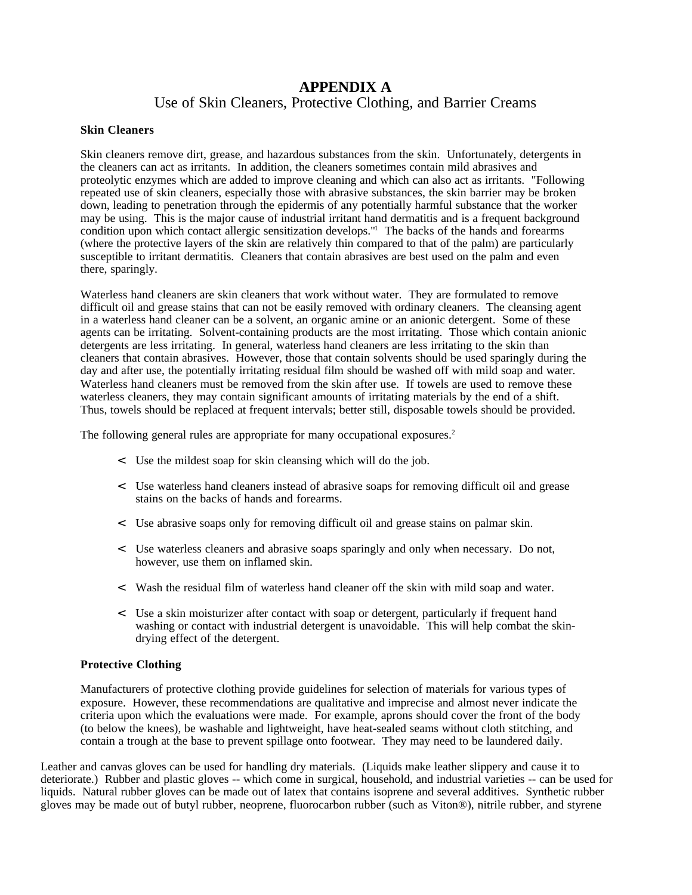# **APPENDIX A** Use of Skin Cleaners, Protective Clothing, and Barrier Creams

# **Skin Cleaners**

Skin cleaners remove dirt, grease, and hazardous substances from the skin. Unfortunately, detergents in the cleaners can act as irritants. In addition, the cleaners sometimes contain mild abrasives and proteolytic enzymes which are added to improve cleaning and which can also act as irritants. "Following repeated use of skin cleaners, especially those with abrasive substances, the skin barrier may be broken down, leading to penetration through the epidermis of any potentially harmful substance that the worker may be using. This is the major cause of industrial irritant hand dermatitis and is a frequent background condition upon which contact allergic sensitization develops."<sup>1</sup> The backs of the hands and forearms (where the protective layers of the skin are relatively thin compared to that of the palm) are particularly susceptible to irritant dermatitis. Cleaners that contain abrasives are best used on the palm and even there, sparingly.

Waterless hand cleaners are skin cleaners that work without water. They are formulated to remove difficult oil and grease stains that can not be easily removed with ordinary cleaners. The cleansing agent in a waterless hand cleaner can be a solvent, an organic amine or an anionic detergent. Some of these agents can be irritating. Solvent-containing products are the most irritating. Those which contain anionic detergents are less irritating. In general, waterless hand cleaners are less irritating to the skin than cleaners that contain abrasives. However, those that contain solvents should be used sparingly during the day and after use, the potentially irritating residual film should be washed off with mild soap and water. Waterless hand cleaners must be removed from the skin after use. If towels are used to remove these waterless cleaners, they may contain significant amounts of irritating materials by the end of a shift. Thus, towels should be replaced at frequent intervals; better still, disposable towels should be provided.

The following general rules are appropriate for many occupational exposures.<sup>2</sup>

- < Use the mildest soap for skin cleansing which will do the job.
- < Use waterless hand cleaners instead of abrasive soaps for removing difficult oil and grease stains on the backs of hands and forearms.
- < Use abrasive soaps only for removing difficult oil and grease stains on palmar skin.
- < Use waterless cleaners and abrasive soaps sparingly and only when necessary. Do not, however, use them on inflamed skin.
- < Wash the residual film of waterless hand cleaner off the skin with mild soap and water.
- < Use a skin moisturizer after contact with soap or detergent, particularly if frequent hand washing or contact with industrial detergent is unavoidable. This will help combat the skindrying effect of the detergent.

### **Protective Clothing**

Manufacturers of protective clothing provide guidelines for selection of materials for various types of exposure. However, these recommendations are qualitative and imprecise and almost never indicate the criteria upon which the evaluations were made. For example, aprons should cover the front of the body (to below the knees), be washable and lightweight, have heat-sealed seams without cloth stitching, and contain a trough at the base to prevent spillage onto footwear. They may need to be laundered daily.

Leather and canvas gloves can be used for handling dry materials. (Liquids make leather slippery and cause it to deteriorate.) Rubber and plastic gloves -- which come in surgical, household, and industrial varieties -- can be used for liquids. Natural rubber gloves can be made out of latex that contains isoprene and several additives. Synthetic rubber gloves may be made out of butyl rubber, neoprene, fluorocarbon rubber (such as Viton®), nitrile rubber, and styrene